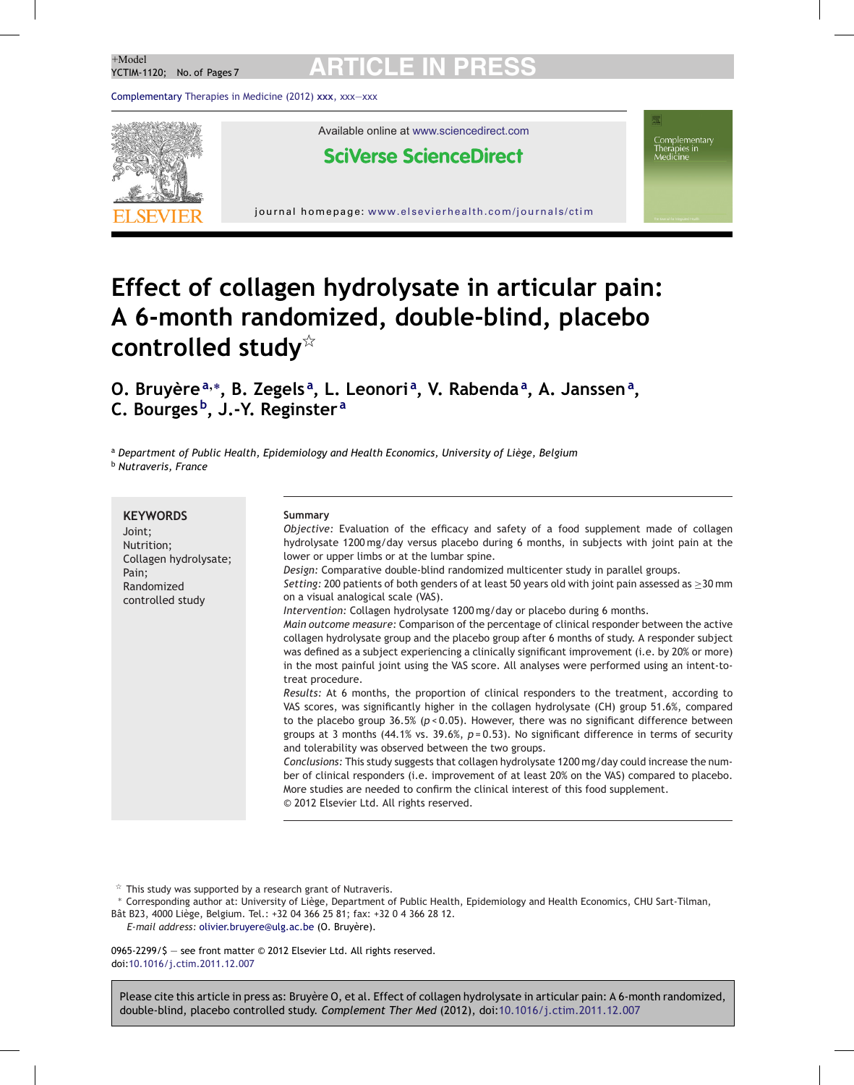## **ARTICLE IN**<br>PCTIM 1120: No. of Pages 7.

Complementary Therapies in Medicine (2012) **xxx**, xxx—xxx



# **Effect of collagen hydrolysate in articular pain: A 6-month randomized, double-blind, placebo controlled study**

**O. Bruyère<sup>a</sup>**,<sup>∗</sup> **, B. Zegels <sup>a</sup> , L. Leonori <sup>a</sup> , V. Rabenda<sup>a</sup> , A. Janssen<sup>a</sup> , C. Bourges b, J.-Y. Reginster <sup>a</sup>**

<sup>a</sup> *Department of Public Health, Epidemiology and Health Economics, University of Liège, Belgium* <sup>b</sup> *Nutraveris, France*

| <b>KEYWORDS</b><br>Joint;<br>Nutrition;<br>Collagen hydrolysate;<br>Pain;<br>Randomized<br>controlled study | Summary<br>Objective: Evaluation of the efficacy and safety of a food supplement made of collagen<br>hydrolysate 1200 mg/day versus placebo during 6 months, in subjects with joint pain at the<br>lower or upper limbs or at the lumbar spine.<br>Design: Comparative double-blind randomized multicenter study in parallel groups.<br>Setting: 200 patients of both genders of at least 50 years old with joint pain assessed as $\geq$ 30 mm<br>on a visual analogical scale (VAS).<br>Intervention: Collagen hydrolysate 1200 mg/day or placebo during 6 months.<br>Main outcome measure: Comparison of the percentage of clinical responder between the active<br>collagen hydrolysate group and the placebo group after 6 months of study. A responder subject<br>was defined as a subject experiencing a clinically significant improvement (i.e. by 20% or more)<br>in the most painful joint using the VAS score. All analyses were performed using an intent-to-<br>treat procedure.<br>Results: At 6 months, the proportion of clinical responders to the treatment, according to<br>VAS scores, was significantly higher in the collagen hydrolysate (CH) group 51.6%, compared<br>to the placebo group 36.5% ( $p < 0.05$ ). However, there was no significant difference between<br>groups at 3 months (44.1% vs. 39.6%, $p=0.53$ ). No significant difference in terms of security<br>and tolerability was observed between the two groups.<br>Conclusions: This study suggests that collagen hydrolysate 1200 mg/day could increase the num-<br>ber of clinical responders (i.e. improvement of at least 20% on the VAS) compared to placebo. |
|-------------------------------------------------------------------------------------------------------------|---------------------------------------------------------------------------------------------------------------------------------------------------------------------------------------------------------------------------------------------------------------------------------------------------------------------------------------------------------------------------------------------------------------------------------------------------------------------------------------------------------------------------------------------------------------------------------------------------------------------------------------------------------------------------------------------------------------------------------------------------------------------------------------------------------------------------------------------------------------------------------------------------------------------------------------------------------------------------------------------------------------------------------------------------------------------------------------------------------------------------------------------------------------------------------------------------------------------------------------------------------------------------------------------------------------------------------------------------------------------------------------------------------------------------------------------------------------------------------------------------------------------------------------------------------------------------------------------------------------------------------------------------------------|
|                                                                                                             | More studies are needed to confirm the clinical interest of this food supplement.<br>© 2012 Elsevier Ltd. All rights reserved.                                                                                                                                                                                                                                                                                                                                                                                                                                                                                                                                                                                                                                                                                                                                                                                                                                                                                                                                                                                                                                                                                                                                                                                                                                                                                                                                                                                                                                                                                                                                |

 $\overrightarrow{r}$  This study was supported by a research grant of Nutraveris.

∗ Corresponding author at: University of Liège, Department of Public Health, Epidemiology and Health Economics, CHU Sart-Tilman, Bât B23, 4000 Liège, Belgium. Tel.: +32 04 366 25 81; fax: +32 0 4 366 28 12.

*E-mail address:* olivier.bruyere@ulg.ac.be (O. Bruyère).

0965-2299/\$ — see front matter © 2012 Elsevier Ltd. All rights reserved. doi:10.1016/j.ctim.2011.12.007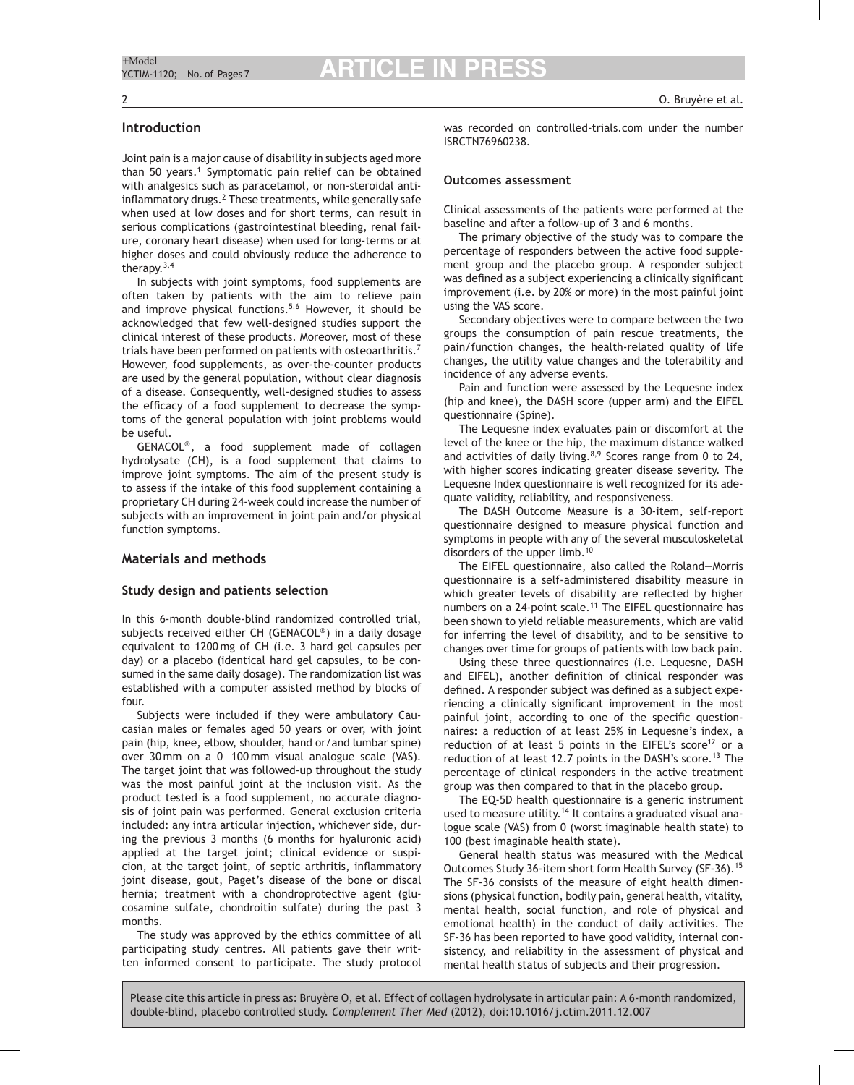## **Introduction**

Joint pain is a major cause of disability in subjects aged more than 50 years.<sup>1</sup> Symptomatic pain relief can be obtained with analgesics such as paracetamol, or non-steroidal antiinflammatory drugs.<sup>2</sup> These treatments, while generally safe when used at low doses and for short terms, can result in serious complications (gastrointestinal bleeding, renal failure, coronary heart disease) when used for long-terms or at higher doses and could obviously reduce the adherence to therapy.<sup>3,4</sup>

In subjects with joint symptoms, food supplements are often taken by patients with the aim to relieve pain and improve physical functions.<sup>5,6</sup> However, it should be acknowledged that few well-designed studies support the clinical interest of these products. Moreover, most of these trials have been performed on patients with osteoarthritis.7 However, food supplements, as over-the-counter products are used by the general population, without clear diagnosis of a disease. Consequently, well-designed studies to assess the efficacy of a food supplement to decrease the symptoms of the general population with joint problems would be useful.

GENACOL®, a food supplement made of collagen hydrolysate (CH), is a food supplement that claims to improve joint symptoms. The aim of the present study is to assess if the intake of this food supplement containing a proprietary CH during 24-week could increase the number of subjects with an improvement in joint pain and/or physical function symptoms.

## **Materials and methods**

#### **Study design and patients selection**

In this 6-month double-blind randomized controlled trial, subjects received either CH (GENACOL®) in a daily dosage equivalent to 1200 mg of CH (i.e. 3 hard gel capsules per day) or a placebo (identical hard gel capsules, to be consumed in the same daily dosage). The randomization list was established with a computer assisted method by blocks of four.

Subjects were included if they were ambulatory Caucasian males or females aged 50 years or over, with joint pain (hip, knee, elbow, shoulder, hand or/and lumbar spine) over 30 mm on a 0—100 mm visual analogue scale (VAS). The target joint that was followed-up throughout the study was the most painful joint at the inclusion visit. As the product tested is a food supplement, no accurate diagnosis of joint pain was performed. General exclusion criteria included: any intra articular injection, whichever side, during the previous 3 months (6 months for hyaluronic acid) applied at the target joint; clinical evidence or suspicion, at the target joint, of septic arthritis, inflammatory joint disease, gout, Paget's disease of the bone or discal hernia; treatment with a chondroprotective agent (glucosamine sulfate, chondroitin sulfate) during the past 3 months.

The study was approved by the ethics committee of all participating study centres. All patients gave their written informed consent to participate. The study protocol was recorded on controlled-trials.com under the number ISRCTN76960238.

#### **Outcomes assessment**

Clinical assessments of the patients were performed at the baseline and after a follow-up of 3 and 6 months.

The primary objective of the study was to compare the percentage of responders between the active food supplement group and the placebo group. A responder subject was defined as a subject experiencing a clinically significant improvement (i.e. by 20% or more) in the most painful joint using the VAS score.

Secondary objectives were to compare between the two groups the consumption of pain rescue treatments, the pain/function changes, the health-related quality of life changes, the utility value changes and the tolerability and incidence of any adverse events.

Pain and function were assessed by the Lequesne index (hip and knee), the DASH score (upper arm) and the EIFEL questionnaire (Spine).

The Lequesne index evaluates pain or discomfort at the level of the knee or the hip, the maximum distance walked and activities of daily living. $8,9$  Scores range from 0 to 24, with higher scores indicating greater disease severity. The Lequesne Index questionnaire is well recognized for its adequate validity, reliability, and responsiveness.

The DASH Outcome Measure is a 30-item, self-report questionnaire designed to measure physical function and symptoms in people with any of the several musculoskeletal disorders of the upper limb.<sup>10</sup>

The EIFEL questionnaire, also called the Roland—Morris questionnaire is a self-administered disability measure in which greater levels of disability are reflected by higher numbers on a 24-point scale.<sup>11</sup> The EIFEL questionnaire has been shown to yield reliable measurements, which are valid for inferring the level of disability, and to be sensitive to changes over time for groups of patients with low back pain.

Using these three questionnaires (i.e. Lequesne, DASH and EIFEL), another definition of clinical responder was defined. A responder subject was defined as a subject experiencing a clinically significant improvement in the most painful joint, according to one of the specific questionnaires: a reduction of at least 25% in Lequesne's index, a reduction of at least 5 points in the EIFEL's score<sup>12</sup> or a reduction of at least 12.7 points in the DASH's score.<sup>13</sup> The percentage of clinical responders in the active treatment group was then compared to that in the placebo group.

The EQ-5D health questionnaire is a generic instrument used to measure utility.<sup>14</sup> It contains a graduated visual analogue scale (VAS) from 0 (worst imaginable health state) to 100 (best imaginable health state).

General health status was measured with the Medical Outcomes Study 36-item short form Health Survey (SF-36).<sup>15</sup> The SF-36 consists of the measure of eight health dimensions (physical function, bodily pain, general health, vitality, mental health, social function, and role of physical and emotional health) in the conduct of daily activities. The SF-36 has been reported to have good validity, internal consistency, and reliability in the assessment of physical and mental health status of subjects and their progression.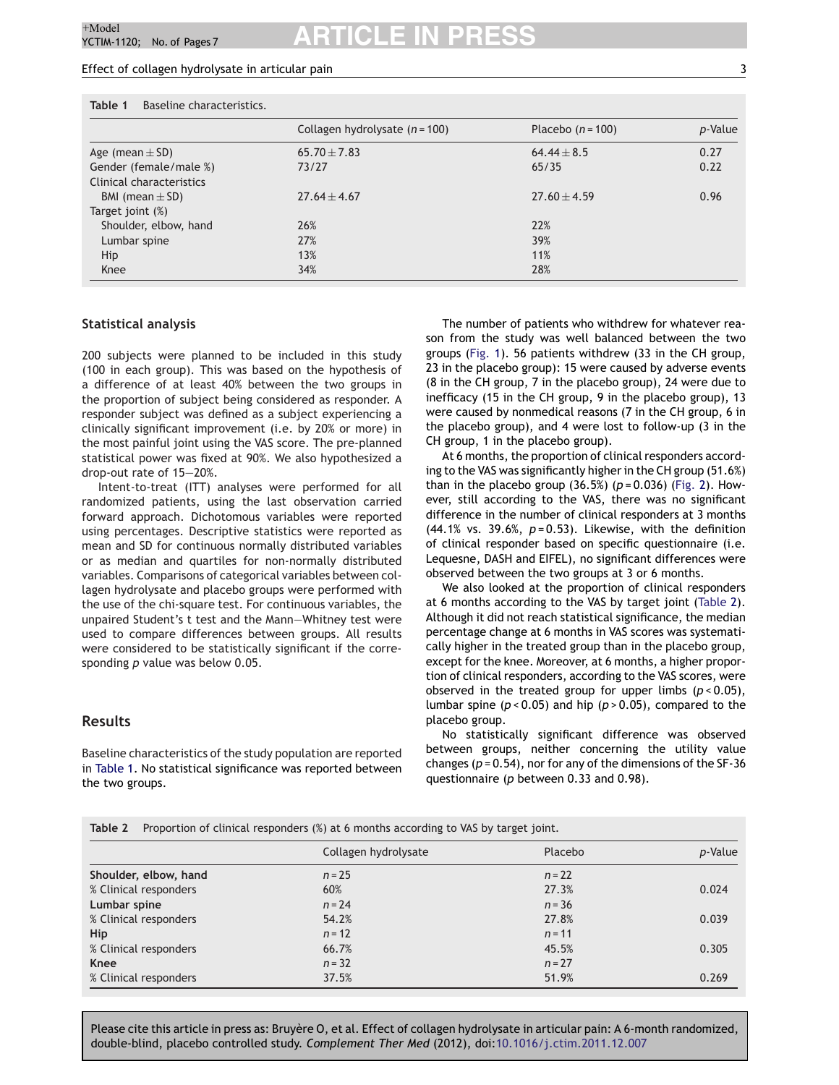#### Effect of collagen hydrolysate in articular pain 3

**Table 1** Baseline characteristics. Collagen hydrolysate (*n* = 100) Placebo (*n* = 100) *p*-Value Age (mean  $\pm$  SD) 65.70  $\pm$  7.83 64.44  $\pm$  8.5 64.44  $\pm$  8.5 65.70 Gender (female/male %) 73/27 65/35 65/35 0.22 Clinical characteristics BMI (mean  $\pm$  SD) 27.64  $\pm$  4.67 27.60  $\pm$  4.59 27.60  $\pm$  4.59 0.96 Target joint (%) Shoulder, elbow, hand 26% 22% Lumbar spine 39% Hip  $11\%$  13%  $11\%$ Knee  $34\%$  28%  $28\%$ 

#### **Statistical analysis**

200 subjects were planned to be included in this study (100 in each group). This was based on the hypothesis of a difference of at least 40% between the two groups in the proportion of subject being considered as responder. A responder subject was defined as a subject experiencing a clinically significant improvement (i.e. by 20% or more) in the most painful joint using the VAS score. The pre-planned statistical power was fixed at 90%. We also hypothesized a drop-out rate of 15—20%.

Intent-to-treat (ITT) analyses were performed for all randomized patients, using the last observation carried forward approach. Dichotomous variables were reported using percentages. Descriptive statistics were reported as mean and SD for continuous normally distributed variables or as median and quartiles for non-normally distributed variables. Comparisons of categorical variables between collagen hydrolysate and placebo groups were performed with the use of the chi-square test. For continuous variables, the unpaired Student's t test and the Mann—Whitney test were used to compare differences between groups. All results were considered to be statistically significant if the corresponding *p* value was below 0.05.

#### **Results**

Baseline characteristics of the study population are reported in Table 1. No statistical significance was reported between the two groups.

The number of patients who withdrew for whatever reason from the study was well balanced between the two groups (Fig. 1). 56 patients withdrew (33 in the CH group, 23 in the placebo group): 15 were caused by adverse events (8 in the CH group, 7 in the placebo group), 24 were due to inefficacy (15 in the CH group, 9 in the placebo group), 13 were caused by nonmedical reasons (7 in the CH group, 6 in the placebo group), and 4 were lost to follow-up (3 in the CH group, 1 in the placebo group).

At 6 months, the proportion of clinical responders according to the VAS was significantly higher in the CH group (51.6%) than in the placebo group (36.5%) (*p* = 0.036) (Fig. 2). However, still according to the VAS, there was no significant difference in the number of clinical responders at 3 months (44.1% vs. 39.6%, *p* = 0.53). Likewise, with the definition of clinical responder based on specific questionnaire (i.e. Lequesne, DASH and EIFEL), no significant differences were observed between the two groups at 3 or 6 months.

We also looked at the proportion of clinical responders at 6 months according to the VAS by target joint (Table 2). Although it did not reach statistical significance, the median percentage change at 6 months in VAS scores was systematically higher in the treated group than in the placebo group, except for the knee. Moreover, at 6 months, a higher proportion of clinical responders, according to the VAS scores, were observed in the treated group for upper limbs (*p* < 0.05), lumbar spine (*p* < 0.05) and hip (*p* > 0.05), compared to the placebo group.

No statistically significant difference was observed between groups, neither concerning the utility value changes (*p* = 0.54), nor for any of the dimensions of the SF-36 questionnaire (*p* between 0.33 and 0.98).

| <b>Table 2</b> Proportion of clinical responders (%) at 6 months according to VAS by target joint. |  |  |
|----------------------------------------------------------------------------------------------------|--|--|
|                                                                                                    |  |  |

|                       | Collagen hydrolysate | Placebo  | p-Value |
|-----------------------|----------------------|----------|---------|
| Shoulder, elbow, hand | $n = 25$             | $n = 22$ |         |
| % Clinical responders | 60%                  | 27.3%    | 0.024   |
| Lumbar spine          | $n = 24$             | $n = 36$ |         |
| % Clinical responders | 54.2%                | 27.8%    | 0.039   |
| Hip                   | $n = 12$             | $n = 11$ |         |
| % Clinical responders | 66.7%                | 45.5%    | 0.305   |
| Knee                  | $n = 32$             | $n = 27$ |         |
| % Clinical responders | 37.5%                | 51.9%    | 0.269   |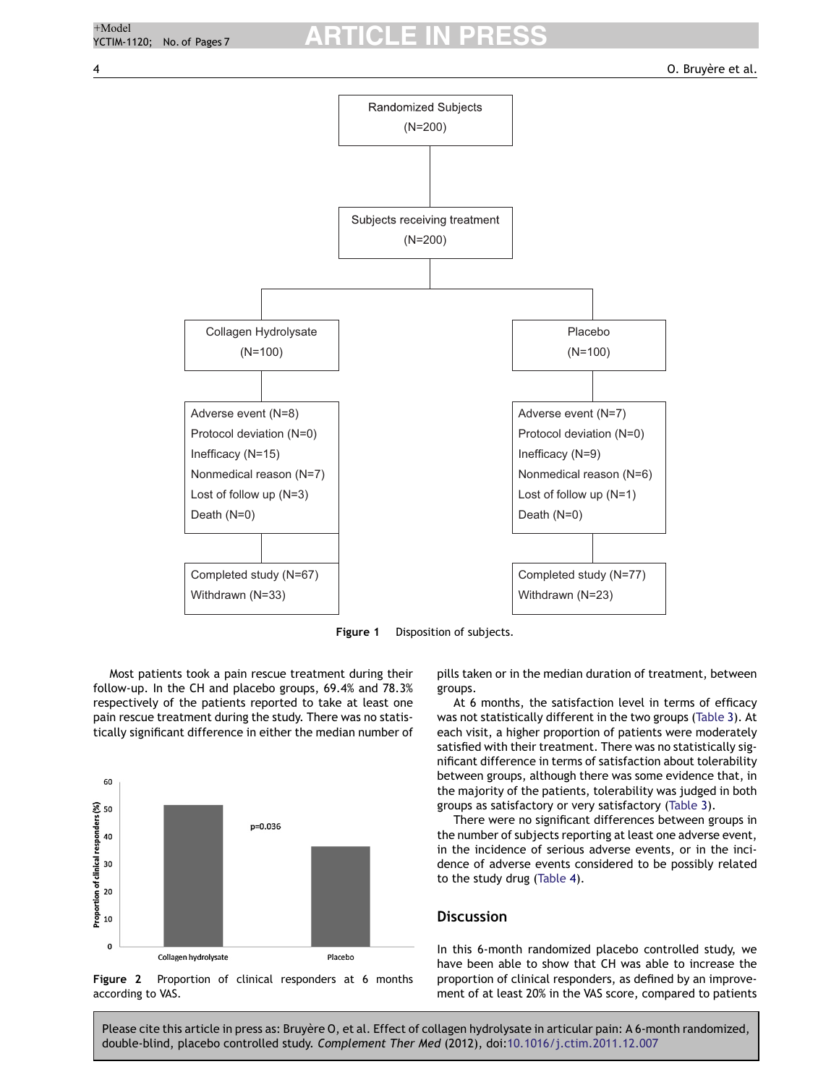

**Figure 1** Disposition of subjects.

Most patients took a pain rescue treatment during their follow-up. In the CH and placebo groups, 69.4% and 78.3% respectively of the patients reported to take at least one pain rescue treatment during the study. There was no statistically significant difference in either the median number of



**Figure 2** Proportion of clinical responders at 6 months according to VAS.

pills taken or in the median duration of treatment, between groups.

At 6 months, the satisfaction level in terms of efficacy was not statistically different in the two groups (Table 3). At each visit, a higher proportion of patients were moderately satisfied with their treatment. There was no statistically significant difference in terms of satisfaction about tolerability between groups, although there was some evidence that, in the majority of the patients, tolerability was judged in both groups as satisfactory or very satisfactory (Table 3).

There were no significant differences between groups in the number of subjects reporting at least one adverse event, in the incidence of serious adverse events, or in the incidence of adverse events considered to be possibly related to the study drug (Table 4).

## **Discussion**

In this 6-month randomized placebo controlled study, we have been able to show that CH was able to increase the proportion of clinical responders, as defined by an improvement of at least 20% in the VAS score, compared to patients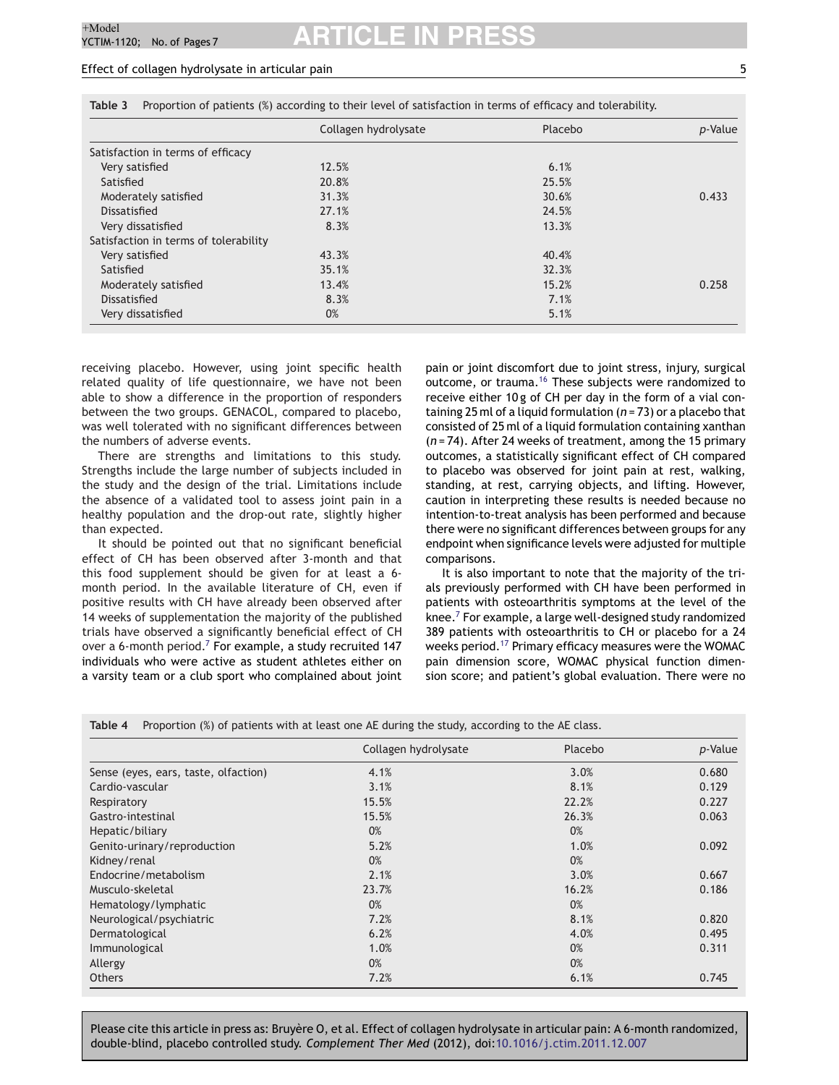## Effect of collagen hydrolysate in articular pain 5

|                                       | Collagen hydrolysate | Placebo | p-Value |
|---------------------------------------|----------------------|---------|---------|
| Satisfaction in terms of efficacy     |                      |         |         |
| Very satisfied                        | 12.5%                | 6.1%    |         |
| Satisfied                             | 20.8%                | 25.5%   |         |
| Moderately satisfied                  | 31.3%                | 30.6%   | 0.433   |
| Dissatisfied                          | 27.1%                | 24.5%   |         |
| Very dissatisfied                     | 8.3%                 | 13.3%   |         |
| Satisfaction in terms of tolerability |                      |         |         |
| Very satisfied                        | 43.3%                | 40.4%   |         |
| Satisfied                             | 35.1%                | 32.3%   |         |
| Moderately satisfied                  | 13.4%                | 15.2%   | 0.258   |
| Dissatisfied                          | 8.3%                 | 7.1%    |         |
| Very dissatisfied                     | 0%                   | 5.1%    |         |

**Table 3** Proportion of patients (%) according to their level of satisfaction in terms of efficacy and tolerability.

receiving placebo. However, using joint specific health related quality of life questionnaire, we have not been able to show a difference in the proportion of responders between the two groups. GENACOL, compared to placebo, was well tolerated with no significant differences between the numbers of adverse events.

There are strengths and limitations to this study. Strengths include the large number of subjects included in the study and the design of the trial. Limitations include the absence of a validated tool to assess joint pain in a healthy population and the drop-out rate, slightly higher than expected.

It should be pointed out that no significant beneficial effect of CH has been observed after 3-month and that this food supplement should be given for at least a 6 month period. In the available literature of CH, even if positive results with CH have already been observed after 14 weeks of supplementation the majority of the published trials have observed a significantly beneficial effect of CH over a 6-month period.<sup>7</sup> For example, a study recruited 147 individuals who were active as student athletes either on a varsity team or a club sport who complained about joint

pain or joint discomfort due to joint stress, injury, surgical outcome, or trauma.16 These subjects were randomized to receive either 10 g of CH per day in the form of a vial containing 25 ml of a liquid formulation (*n* = 73) or a placebo that consisted of 25 ml of a liquid formulation containing xanthan (*n* = 74). After 24 weeks of treatment, among the 15 primary outcomes, a statistically significant effect of CH compared to placebo was observed for joint pain at rest, walking, standing, at rest, carrying objects, and lifting. However, caution in interpreting these results is needed because no intention-to-treat analysis has been performed and because there were no significant differences between groups for any endpoint when significance levels were adjusted for multiple comparisons.

It is also important to note that the majority of the trials previously performed with CH have been performed in patients with osteoarthritis symptoms at the level of the knee. $<sup>7</sup>$  For example, a large well-designed study randomized</sup> 389 patients with osteoarthritis to CH or placebo for a 24 weeks period.<sup>17</sup> Primary efficacy measures were the WOMAC pain dimension score, WOMAC physical function dimension score; and patient's global evaluation. There were no

**Table 4** Proportion (%) of patients with at least one AE during the study, according to the AE class.

|                                      | Collagen hydrolysate | Placebo | p-Value |
|--------------------------------------|----------------------|---------|---------|
| Sense (eyes, ears, taste, olfaction) | 4.1%                 | 3.0%    | 0.680   |
| Cardio-vascular                      | 3.1%                 | 8.1%    | 0.129   |
| Respiratory                          | 15.5%                | 22.2%   | 0.227   |
| Gastro-intestinal                    | 15.5%                | 26.3%   | 0.063   |
| Hepatic/biliary                      | 0%                   | 0%      |         |
| Genito-urinary/reproduction          | 5.2%                 | 1.0%    | 0.092   |
| Kidney/renal                         | 0%                   | 0%      |         |
| Endocrine/metabolism                 | 2.1%                 | 3.0%    | 0.667   |
| Musculo-skeletal                     | 23.7%                | 16.2%   | 0.186   |
| Hematology/lymphatic                 | 0%                   | 0%      |         |
| Neurological/psychiatric             | 7.2%                 | 8.1%    | 0.820   |
| Dermatological                       | 6.2%                 | 4.0%    | 0.495   |
| Immunological                        | 1.0%                 | 0%      | 0.311   |
| Allergy                              | 0%                   | 0%      |         |
| <b>Others</b>                        | 7.2%                 | 6.1%    | 0.745   |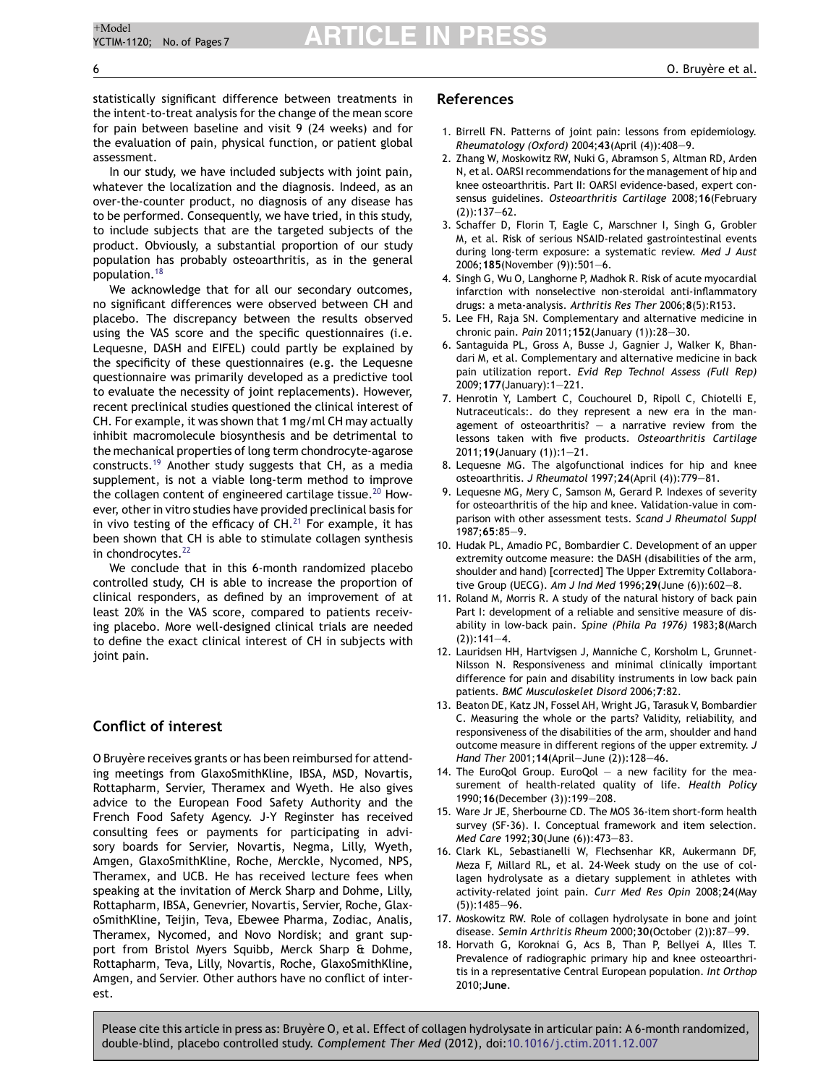statistically significant difference between treatments in the intent-to-treat analysis for the change of the mean score for pain between baseline and visit 9 (24 weeks) and for the evaluation of pain, physical function, or patient global assessment.

In our study, we have included subjects with joint pain, whatever the localization and the diagnosis. Indeed, as an over-the-counter product, no diagnosis of any disease has to be performed. Consequently, we have tried, in this study, to include subjects that are the targeted subjects of the product. Obviously, a substantial proportion of our study population has probably osteoarthritis, as in the general population.18

We acknowledge that for all our secondary outcomes, no significant differences were observed between CH and placebo. The discrepancy between the results observed using the VAS score and the specific questionnaires (i.e. Lequesne, DASH and EIFEL) could partly be explained by the specificity of these questionnaires (e.g. the Lequesne questionnaire was primarily developed as a predictive tool to evaluate the necessity of joint replacements). However, recent preclinical studies questioned the clinical interest of CH. For example, it was shown that 1 mg/ml CH may actually inhibit macromolecule biosynthesis and be detrimental to the mechanical properties of long term chondrocyte-agarose constructs.19 Another study suggests that CH, as a media supplement, is not a viable long-term method to improve the collagen content of engineered cartilage tissue.<sup>20</sup> However, other in vitro studies have provided preclinical basis for in vivo testing of the efficacy of  $CH<sup>21</sup>$  For example, it has been shown that CH is able to stimulate collagen synthesis in chondrocytes. $^{22}$ 

We conclude that in this 6-month randomized placebo controlled study, CH is able to increase the proportion of clinical responders, as defined by an improvement of at least 20% in the VAS score, compared to patients receiving placebo. More well-designed clinical trials are needed to define the exact clinical interest of CH in subjects with joint pain.

## **Conflict of interest**

O Bruyère receives grants or has been reimbursed for attending meetings from GlaxoSmithKline, IBSA, MSD, Novartis, Rottapharm, Servier, Theramex and Wyeth. He also gives advice to the European Food Safety Authority and the French Food Safety Agency. J-Y Reginster has received consulting fees or payments for participating in advisory boards for Servier, Novartis, Negma, Lilly, Wyeth, Amgen, GlaxoSmithKline, Roche, Merckle, Nycomed, NPS, Theramex, and UCB. He has received lecture fees when speaking at the invitation of Merck Sharp and Dohme, Lilly, Rottapharm, IBSA, Genevrier, Novartis, Servier, Roche, GlaxoSmithKline, Teijin, Teva, Ebewee Pharma, Zodiac, Analis, Theramex, Nycomed, and Novo Nordisk; and grant support from Bristol Myers Squibb, Merck Sharp & Dohme, Rottapharm, Teva, Lilly, Novartis, Roche, GlaxoSmithKline, Amgen, and Servier. Other authors have no conflict of interest.

#### **References**

- 1. Birrell FN. Patterns of joint pain: lessons from epidemiology. *Rheumatology (Oxford)* 2004;**43**(April (4)):408—9.
- 2. Zhang W, Moskowitz RW, Nuki G, Abramson S, Altman RD, Arden N, et al. OARSI recommendations for the management of hip and knee osteoarthritis. Part II: OARSI evidence-based, expert consensus guidelines. *Osteoarthritis Cartilage* 2008;**16**(February (2)):137—62.
- 3. Schaffer D, Florin T, Eagle C, Marschner I, Singh G, Grobler M, et al. Risk of serious NSAID-related gastrointestinal events during long-term exposure: a systematic review. *Med J Aust* 2006;**185**(November (9)):501—6.
- 4. Singh G, Wu O, Langhorne P, Madhok R. Risk of acute myocardial infarction with nonselective non-steroidal anti-inflammatory drugs: a meta-analysis. *Arthritis Res Ther* 2006;**8**(5):R153.
- 5. Lee FH, Raja SN. Complementary and alternative medicine in chronic pain. *Pain* 2011;**152**(January (1)):28—30.
- 6. Santaguida PL, Gross A, Busse J, Gagnier J, Walker K, Bhandari M, et al. Complementary and alternative medicine in back pain utilization report. *Evid Rep Technol Assess (Full Rep)* 2009;**177**(January):1—221.
- 7. Henrotin Y, Lambert C, Couchourel D, Ripoll C, Chiotelli E, Nutraceuticals:. do they represent a new era in the management of osteoarthritis?  $-$  a narrative review from the lessons taken with five products. *Osteoarthritis Cartilage* 2011;**19**(January (1)):1—21.
- 8. Lequesne MG. The algofunctional indices for hip and knee osteoarthritis. *J Rheumatol* 1997;**24**(April (4)):779—81.
- 9. Lequesne MG, Mery C, Samson M, Gerard P. Indexes of severity for osteoarthritis of the hip and knee. Validation-value in comparison with other assessment tests. *Scand J Rheumatol Suppl* 1987;**65**:85—9.
- 10. Hudak PL, Amadio PC, Bombardier C. Development of an upper extremity outcome measure: the DASH (disabilities of the arm, shoulder and hand) [corrected] The Upper Extremity Collaborative Group (UECG). *Am J Ind Med* 1996;**29**(June (6)):602—8.
- 11. Roland M, Morris R. A study of the natural history of back pain Part I: development of a reliable and sensitive measure of disability in low-back pain. *Spine (Phila Pa 1976)* 1983;**8**(March  $(2)$ :141-4.
- 12. Lauridsen HH, Hartvigsen J, Manniche C, Korsholm L, Grunnet-Nilsson N. Responsiveness and minimal clinically important difference for pain and disability instruments in low back pain patients. *BMC Musculoskelet Disord* 2006;**7**:82.
- 13. Beaton DE, Katz JN, Fossel AH, Wright JG, Tarasuk V, Bombardier C. Measuring the whole or the parts? Validity, reliability, and responsiveness of the disabilities of the arm, shoulder and hand outcome measure in different regions of the upper extremity. *J Hand Ther* 2001;**14**(April—June (2)):128—46.
- 14. The EuroQol Group. EuroQol a new facility for the measurement of health-related quality of life. *Health Policy* 1990;**16**(December (3)):199—208.
- 15. Ware Jr JE, Sherbourne CD. The MOS 36-item short-form health survey (SF-36). I. Conceptual framework and item selection. *Med Care* 1992;**30**(June (6)):473—83.
- 16. Clark KL, Sebastianelli W, Flechsenhar KR, Aukermann DF, Meza F, Millard RL, et al. 24-Week study on the use of collagen hydrolysate as a dietary supplement in athletes with activity-related joint pain. *Curr Med Res Opin* 2008;**24**(May (5)):1485—96.
- 17. Moskowitz RW. Role of collagen hydrolysate in bone and joint disease. *Semin Arthritis Rheum* 2000;**30**(October (2)):87—99.
- 18. Horvath G, Koroknai G, Acs B, Than P, Bellyei A, Illes T. Prevalence of radiographic primary hip and knee osteoarthritis in a representative Central European population. *Int Orthop* 2010;**June**.